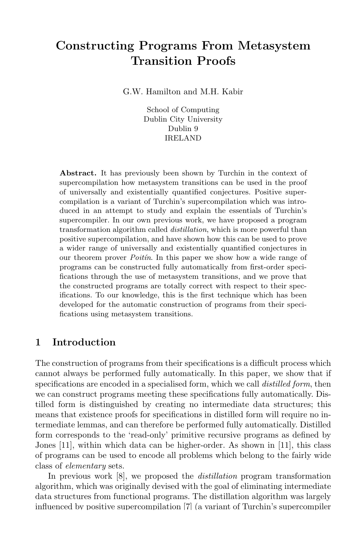# Constructing Programs From Metasystem Transition Proofs

G.W. Hamilton and M.H. Kabir

School of Computing Dublin City University Dublin 9 IRELAND

Abstract. It has previously been shown by Turchin in the context of supercompilation how metasystem transitions can be used in the proof of universally and existentially quantified conjectures. Positive supercompilation is a variant of Turchin's supercompilation which was introduced in an attempt to study and explain the essentials of Turchin's supercompiler. In our own previous work, we have proposed a program transformation algorithm called distillation, which is more powerful than positive supercompilation, and have shown how this can be used to prove a wider range of universally and existentially quantified conjectures in our theorem prover *Poitin*. In this paper we show how a wide range of programs can be constructed fully automatically from first-order specifications through the use of metasystem transitions, and we prove that the constructed programs are totally correct with respect to their specifications. To our knowledge, this is the first technique which has been developed for the automatic construction of programs from their specifications using metasystem transitions.

# 1 Introduction

The construction of programs from their specifications is a difficult process which cannot always be performed fully automatically. In this paper, we show that if specifications are encoded in a specialised form, which we call *distilled form*, then we can construct programs meeting these specifications fully automatically. Distilled form is distinguished by creating no intermediate data structures; this means that existence proofs for specifications in distilled form will require no intermediate lemmas, and can therefore be performed fully automatically. Distilled form corresponds to the 'read-only' primitive recursive programs as defined by Jones [11], within which data can be higher-order. As shown in [11], this class of programs can be used to encode all problems which belong to the fairly wide class of elementary sets.

In previous work [8], we proposed the *distillation* program transformation algorithm, which was originally devised with the goal of eliminating intermediate data structures from functional programs. The distillation algorithm was largely influenced by positive supercompilation [7] (a variant of Turchin's supercompiler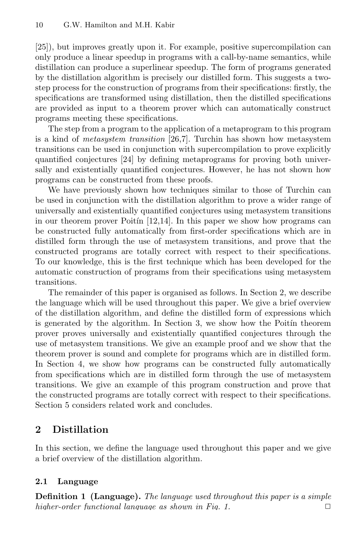[25]), but improves greatly upon it. For example, positive supercompilation can only produce a linear speedup in programs with a call-by-name semantics, while distillation can produce a superlinear speedup. The form of programs generated by the distillation algorithm is precisely our distilled form. This suggests a twostep process for the construction of programs from their specifications: firstly, the specifications are transformed using distillation, then the distilled specifications are provided as input to a theorem prover which can automatically construct programs meeting these specifications.

The step from a program to the application of a metaprogram to this program is a kind of metasystem transition [26,7]. Turchin has shown how metasystem transitions can be used in conjunction with supercompilation to prove explicitly quantified conjectures [24] by defining metaprograms for proving both universally and existentially quantified conjectures. However, he has not shown how programs can be constructed from these proofs.

We have previously shown how techniques similar to those of Turchin can be used in conjunction with the distillation algorithm to prove a wider range of universally and existentially quantified conjectures using metasystem transitions in our theorem prover Poitin  $[12,14]$ . In this paper we show how programs can be constructed fully automatically from first-order specifications which are in distilled form through the use of metasystem transitions, and prove that the constructed programs are totally correct with respect to their specifications. To our knowledge, this is the first technique which has been developed for the automatic construction of programs from their specifications using metasystem transitions.

The remainder of this paper is organised as follows. In Section 2, we describe the language which will be used throughout this paper. We give a brief overview of the distillation algorithm, and define the distilled form of expressions which is generated by the algorithm. In Section 3, we show how the Poitin theorem prover proves universally and existentially quantified conjectures through the use of metasystem transitions. We give an example proof and we show that the theorem prover is sound and complete for programs which are in distilled form. In Section 4, we show how programs can be constructed fully automatically from specifications which are in distilled form through the use of metasystem transitions. We give an example of this program construction and prove that the constructed programs are totally correct with respect to their specifications. Section 5 considers related work and concludes.

# 2 Distillation

In this section, we define the language used throughout this paper and we give a brief overview of the distillation algorithm.

# 2.1 Language

**Definition 1 (Language).** The language used throughout this paper is a simple higher-order functional language as shown in Fig. 1.  $\Box$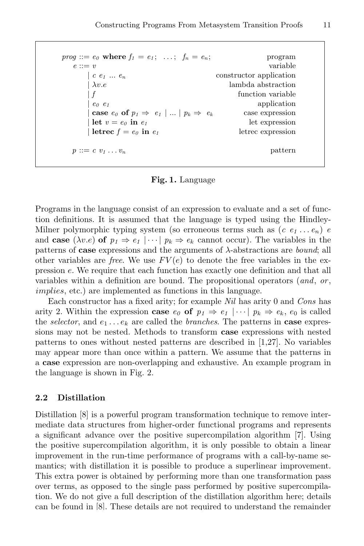$prog ::= e_0$  where  $f_1 = e_1; \ldots; f_n = e_n;$  program  $e ::= v$  variable  $\begin{array}{ccc} c & e_1 & \dots & e_n \end{array}$  constructor application  $\lambda v.e$  lambda abstraction  $| f \rangle$  function variable  $|e_0 e_1|$  application **case**  $e_0$  of  $p_1 \Rightarrow e_1 | ... | p_k \Rightarrow e_k$  case expression  $\det v = e_0$  in  $e_1$  let expression  $\text{letrec } f = e_0 \text{ in } e_1$  letrec expression  $p ::= c \ v_1 \ldots v_n$  pattern

Fig. 1. Language

Programs in the language consist of an expression to evaluate and a set of function definitions. It is assumed that the language is typed using the Hindley-Milner polymorphic typing system (so erroneous terms such as  $(c \, e_1 \ldots e_n)$ ) e and case  $(\lambda v.e)$  of  $p_1 \Rightarrow e_1 \mid \cdots \mid p_k \Rightarrow e_k$  cannot occur). The variables in the patterns of **case** expressions and the arguments of  $\lambda$ -abstractions are *bound*; all other variables are *free*. We use  $FV(e)$  to denote the free variables in the expression e. We require that each function has exactly one definition and that all variables within a definition are bound. The propositional operators  $(and, or, ...)$ implies, etc.) are implemented as functions in this language.

Each constructor has a fixed arity; for example Nil has arity 0 and Cons has arity 2. Within the expression case  $e_0$  of  $p_1 \Rightarrow e_1 \mid \cdots \mid p_k \Rightarrow e_k$ ,  $e_0$  is called the selector, and  $e_1 \ldots e_k$  are called the branches. The patterns in **case** expressions may not be nested. Methods to transform case expressions with nested patterns to ones without nested patterns are described in [1,27]. No variables may appear more than once within a pattern. We assume that the patterns in a case expression are non-overlapping and exhaustive. An example program in the language is shown in Fig. 2.

# 2.2 Distillation

Distillation [8] is a powerful program transformation technique to remove intermediate data structures from higher-order functional programs and represents a significant advance over the positive supercompilation algorithm [7]. Using the positive supercompilation algorithm, it is only possible to obtain a linear improvement in the run-time performance of programs with a call-by-name semantics; with distillation it is possible to produce a superlinear improvement. This extra power is obtained by performing more than one transformation pass over terms, as opposed to the single pass performed by positive supercompilation. We do not give a full description of the distillation algorithm here; details can be found in [8]. These details are not required to understand the remainder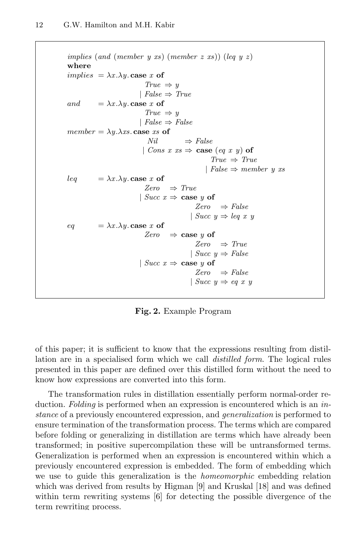```
implies (and (member y xs) (member z xs)) (leq y z)
where
implies = \lambda x . \lambda y case x of
                              True \Rightarrow y| False \Rightarrow Trueand = \lambda x . \lambda y case x of
                              True \Rightarrow y
                            | False \Rightarrow Falsemember = \lambda y \cdot \lambda xs. case xs of
                               Nil \Rightarrow False| Cons x xs \Rightarrow case (eq x y) of
                                                        True \Rightarrow True| False \Rightarrow member y xs
leq = \lambda x . \lambda y case x of
                              Zero \Rightarrow True| Succ x \Rightarrow case y of
                                                  Zero \Rightarrow False| Succ y \Rightarrow leq x yeq = \lambda x . \lambda y case x of
                              Zero \Rightarrow case y of
                                                  Zero \Rightarrow True| Succ y \Rightarrow False| Succ x \Rightarrow case y of
                                                  Zero \Rightarrow False| Succ y \Rightarrow eq \ x \ y
```
Fig. 2. Example Program

of this paper; it is sufficient to know that the expressions resulting from distillation are in a specialised form which we call distilled form. The logical rules presented in this paper are defined over this distilled form without the need to know how expressions are converted into this form.

The transformation rules in distillation essentially perform normal-order reduction. Folding is performed when an expression is encountered which is an instance of a previously encountered expression, and generalization is performed to ensure termination of the transformation process. The terms which are compared before folding or generalizing in distillation are terms which have already been transformed; in positive supercompilation these will be untransformed terms. Generalization is performed when an expression is encountered within which a previously encountered expression is embedded. The form of embedding which we use to guide this generalization is the homeomorphic embedding relation which was derived from results by Higman [9] and Kruskal [18] and was defined within term rewriting systems [6] for detecting the possible divergence of the term rewriting process.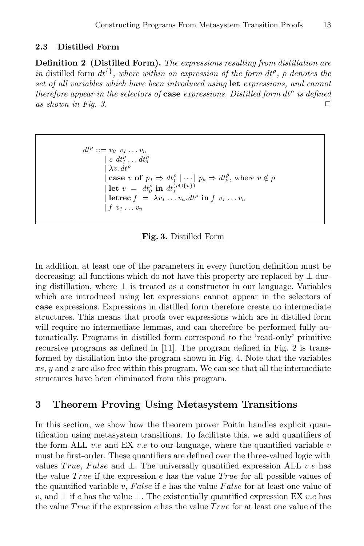#### 2.3 Distilled Form

Definition 2 (Distilled Form). The expressions resulting from distillation are in distilled form  $dt^{\{\}}$ , where within an expression of the form  $dt^{\rho}$ ,  $\rho$  denotes the set of all variables which have been introduced using let expressions, and cannot therefore appear in the selectors of case expressions. Distilled form  $dt^{\rho}$  is defined as shown in Fig. 3.  $\Box$ 

```
dt^{\rho} ::= v_0 \ v_1 \dots v_n| c \ dt_1^{\rho} \dots dt_n^{\rho}\lambda v. dt^{\rho}| case v of p_1 \Rightarrow dt_1^{\rho} | \cdots | p_k \Rightarrow dt_k^{\rho}, where v \notin \rho| let v = dt_0^{\rho} in dt_1^{(\rho \cup \{v\})}| letrec f = \lambda v_1 \ldots v_n \, dt^\rho in f v_1 \ldots v_n| f v_1 ... v_n
```
Fig. 3. Distilled Form

In addition, at least one of the parameters in every function definition must be decreasing; all functions which do not have this property are replaced by  $\perp$  during distillation, where  $\perp$  is treated as a constructor in our language. Variables which are introduced using **let** expressions cannot appear in the selectors of case expressions. Expressions in distilled form therefore create no intermediate structures. This means that proofs over expressions which are in distilled form will require no intermediate lemmas, and can therefore be performed fully automatically. Programs in distilled form correspond to the 'read-only' primitive recursive programs as defined in [11]. The program defined in Fig. 2 is transformed by distillation into the program shown in Fig. 4. Note that the variables  $xs, y$  and z are also free within this program. We can see that all the intermediate structures have been eliminated from this program.

## 3 Theorem Proving Using Metasystem Transitions

In this section, we show how the theorem prover Poitin handles explicit quantification using metasystem transitions. To facilitate this, we add quantifiers of the form ALL v.e and EX v.e to our language, where the quantified variable v must be first-order. These quantifiers are defined over the three-valued logic with values True, False and  $\perp$ . The universally quantified expression ALL v.e has the value  $True$  if the expression e has the value  $True$  for all possible values of the quantified variable v, False if e has the value False for at least one value of v, and  $\perp$  if e has the value  $\perp$ . The existentially quantified expression EX v.e has the value  $True$  if the expression e has the value  $True$  for at least one value of the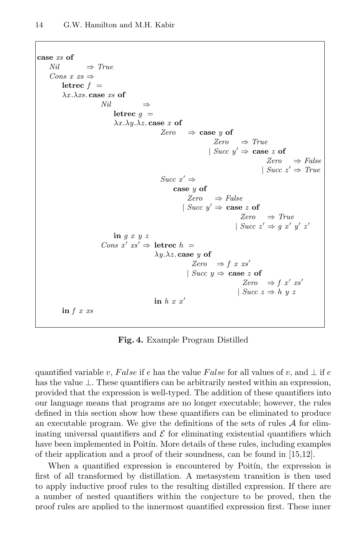```
case xs of
    Nil \Rightarrow TrueCons x \, \textit{xs} \Rightarrowletrec f =\lambda x.\lambda xs.\,case\,xs of
                         Nil \Rightarrowletrec q =\lambda x.\lambda y.\lambda z case x of
                                                  Zero \Rightarrow case y of
                                                                       Zero \Rightarrow True| Succ y' \Rightarrow case z of
                                                                                             Zero \Rightarrow False| Succ z' \Rightarrow TrueSucc x' \Rightarrowcase y of
                                                            Zero \Rightarrow False| Succ y' \Rightarrow case z of
                                                                                  Zero \Rightarrow True| Succ z' \Rightarrow g x' y' z'in g x y z
                          Cons x' xs' \Rightarrow letrec h =\lambda y.\lambda z case y of
                                                              Zero \Rightarrow f \; x \; xs'| Succ y \Rightarrow \cose z of
                                                                                   Zero \Rightarrow f x' xs'
                                                                                 | Succ z \Rightarrow h y zin h x x'in f \, x \, xs
```
Fig. 4. Example Program Distilled

quantified variable v, False if e has the value False for all values of v, and  $\perp$  if e has the value  $\perp$ . These quantifiers can be arbitrarily nested within an expression, provided that the expression is well-typed. The addition of these quantifiers into our language means that programs are no longer executable; however, the rules defined in this section show how these quantifiers can be eliminated to produce an executable program. We give the definitions of the sets of rules  $A$  for eliminating universal quantifiers and  $\mathcal E$  for eliminating existential quantifiers which have been implemented in Poitin. More details of these rules, including examples of their application and a proof of their soundness, can be found in [15,12].

When a quantified expression is encountered by Poitin, the expression is first of all transformed by distillation. A metasystem transition is then used to apply inductive proof rules to the resulting distilled expression. If there are a number of nested quantifiers within the conjecture to be proved, then the proof rules are applied to the innermost quantified expression first. These inner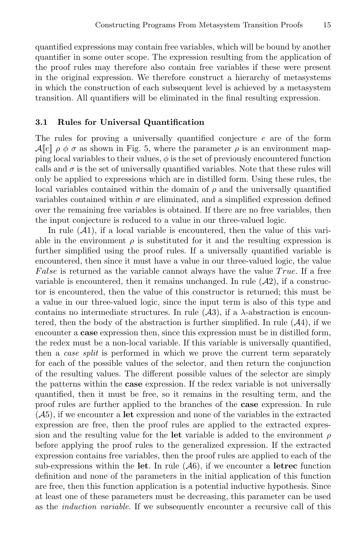quantified expressions may contain free variables, which will be bound by another quantifier in some outer scope. The expression resulting from the application of the proof rules may therefore also contain free variables if these were present in the original expression. We therefore construct a hierarchy of metasystems in which the construction of each subsequent level is achieved by a metasystem transition. All quantifiers will be eliminated in the final resulting expression.

#### 3.1 Rules for Universal Quantification

The rules for proving a universally quantified conjecture e are of the form  $\mathcal{A}[\![e]\!]$   $\rho \phi \sigma$  as shown in Fig. 5, where the parameter  $\rho$  is an environment mapping local variables to their values,  $\phi$  is the set of previously encountered function calls and  $\sigma$  is the set of universally quantified variables. Note that these rules will only be applied to expressions which are in distilled form. Using these rules, the local variables contained within the domain of  $\rho$  and the universally quantified variables contained within  $\sigma$  are eliminated, and a simplified expression defined over the remaining free variables is obtained. If there are no free variables, then the input conjecture is reduced to a value in our three-valued logic.

In rule  $(A1)$ , if a local variable is encountered, then the value of this variable in the environment  $\rho$  is substituted for it and the resulting expression is further simplified using the proof rules. If a universally quantified variable is encountered, then since it must have a value in our three-valued logic, the value False is returned as the variable cannot always have the value  $True$ . If a free variable is encountered, then it remains unchanged. In rule  $(\mathcal{A}2)$ , if a constructor is encountered, then the value of this constructor is returned; this must be a value in our three-valued logic, since the input term is also of this type and contains no intermediate structures. In rule  $(\mathcal{A}3)$ , if a  $\lambda$ -abstraction is encountered, then the body of the abstraction is further simplified. In rule  $(A4)$ , if we encounter a **case** expression then, since this expression must be in distilled form, the redex must be a non-local variable. If this variable is universally quantified, then a *case split* is performed in which we prove the current term separately for each of the possible values of the selector, and then return the conjunction of the resulting values. The different possible values of the selector are simply the patterns within the case expression. If the redex variable is not universally quantified, then it must be free, so it remains in the resulting term, and the proof rules are further applied to the branches of the case expression. In rule  $(A5)$ , if we encounter a let expression and none of the variables in the extracted expression are free, then the proof rules are applied to the extracted expression and the resulting value for the let variable is added to the environment  $\rho$ before applying the proof rules to the generalized expression. If the extracted expression contains free variables, then the proof rules are applied to each of the sub-expressions within the let. In rule  $(A6)$ , if we encounter a letrec function definition and none of the parameters in the initial application of this function are free, then this function application is a potential inductive hypothesis. Since at least one of these parameters must be decreasing, this parameter can be used as the *induction variable*. If we subsequently encounter a recursive call of this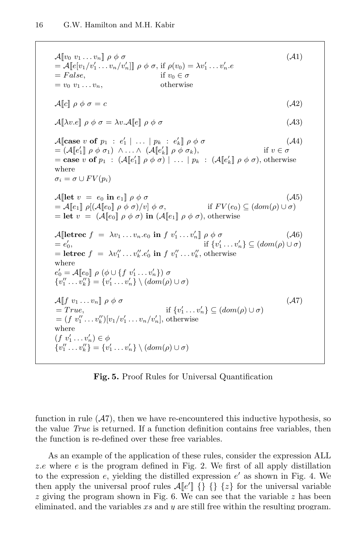$\mathcal{A}$ [ $v_0$   $v_1 \ldots v_n$ ]  $\rho \phi \sigma$  ( $\mathcal{A}$ 1) =  $\mathcal{A}[[e[v_1/v_1' \dots v_n/v_n']]] \rho \phi \sigma$ , if  $\rho(v_0) = \lambda v_1' \dots v_n'$ .e  $= False,$  if  $v_0 \in \sigma$  $= v_0 v_1 \dots v_n,$  otherwise  $\mathcal{A}[[c]] \rho \phi \sigma = c$  (*A*2)  $\mathcal{A}[\![\lambda v.e]\!]$   $\rho \phi \sigma = \lambda v \mathcal{A}[\![e]\!]$   $\rho \phi \sigma$  (A3)  $\mathcal{A}$ [case v of  $p_1 : e'_1 | \dots | p_k : e'_k$ ]  $\rho \phi \sigma$  ( $\mathcal{A}4$ )  $= (\mathcal{A}[[e'_1]] \rho \phi \sigma_1) \wedge \ldots \wedge (\mathcal{A}[[e'_k]] \rho \phi \sigma_k),$  if  $v \in \sigma$ = case v of  $p_1$ :  $(\mathcal{A}[\![e'_1]\!] \rho \phi \sigma) | \dots | p_k$ :  $(\mathcal{A}[\![e'_k]\!] \rho \phi \sigma)$ , otherwise where  $\sigma_i = \sigma \cup FV(p_i)$  $\mathcal{A}$ [let  $v = e_0$  in  $e_1$ ]  $\rho \phi \sigma$  ( $\mathcal{A}5$ )  $= A\llbracket e_1 \rrbracket \rho [ (A\llbracket e_0 \rrbracket \rho \phi \sigma )/v \rrbracket \phi \sigma, \qquad \text{if } FV(e_0) \subseteq (dom(\rho) \cup \sigma)$ = let  $v = (\mathcal{A}[[e_0]] \rho \phi \sigma)$  in  $(\mathcal{A}[[e_1]] \rho \phi \sigma)$ , otherwise  $\mathcal{A}$ [letrec  $f = \lambda v_1 \dots v_n e_0$  in  $f v'_1 \dots v'_n$ ]  $\rho \phi \sigma$  ( $\mathcal{A}6$ )  $= e'_0$  $\int_0',$  if {v  $v'_1 \dots v'_n \} \subseteq (dom(\rho) \cup \sigma)$ = letrec  $f = \lambda v_1'' \dots v_k'' e_0'$  in  $f v_1'' \dots v_k''$ , otherwise where  $e'_0 = \mathcal{A}[\![e_0]\!] \, \, \rho \, \left(\phi \cup \{f \, \, v'_1 \dots v'_n\} \right) \, \sigma$  $\{v''_1 \dots v''_k\} = \{v'_1 \dots v'_n\} \setminus (dom(\rho) \cup \sigma)$  $\mathcal{A} \llbracket f \; v_1 \ldots v_n \rrbracket \; \rho \; \phi \; \sigma$  (A7)  $= True,$  if  $\{v'_1 \dots v'_n\} \subseteq (dom(\rho) \cup \sigma)$  $= (f \; v''_1 \dots v''_k)[v_1/v'_1 \dots v_n/v'_n],$  otherwise where  $(f\ v_1' \ldots v_n') \in \phi$  ${v''_1 \dots v''_k} = {v'_1 \dots v'_n} \setminus (dom(\rho) \cup \sigma)$ 

Fig. 5. Proof Rules for Universal Quantification

function in rule  $(A7)$ , then we have re-encountered this inductive hypothesis, so the value True is returned. If a function definition contains free variables, then the function is re-defined over these free variables.

As an example of the application of these rules, consider the expression ALL z.e where  $e$  is the program defined in Fig. 2. We first of all apply distillation to the expression  $e$ , yielding the distilled expression  $e'$  as shown in Fig. 4. We then apply the universal proof rules  $\mathcal{A}[\![e']\!]$  {} { $\{ \}$  { $\{ \}$ } for the universal variable  $z$  giving the program shown in Fig. 6. We can see that the variable  $z$  has been eliminated, and the variables  $xs$  and  $y$  are still free within the resulting program.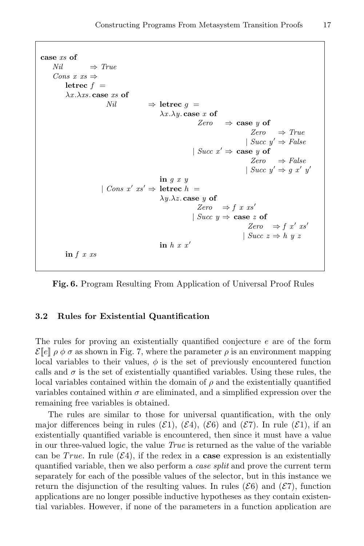```
case xs of
    Nil \Rightarrow TrueCons x \, \text{ss} \Rightarrowletrec f =\lambda x.\lambda xs.\case xs of
                         Nil ⇒ letrec q =\lambda x.\lambda y. case x of
                                                             Zero \Rightarrow case y of
                                                                                  Zero \Rightarrow True| Succ y' \Rightarrow False| Succ x' \Rightarrow case y of
                                                                                  Zero \Rightarrow False| Succ y' \Rightarrow g x' y'in q x y| Cons x' xs' \Rightarrow letrec h =
                                              \lambda y.\lambda z. case y of
                                                             Zero \Rightarrow f x xs'
                                                           | Succ y \Rightarrow \cose z of
                                                                                 Zero \Rightarrow f x' xs'
                                                                               | Succ z \Rightarrow h \le zin h x x'in f \, x \, xs
```
Fig. 6. Program Resulting From Application of Universal Proof Rules

#### 3.2 Rules for Existential Quantification

The rules for proving an existentially quantified conjecture e are of the form  $\mathcal{E}[\![e]\!]$   $\rho \phi \sigma$  as shown in Fig. 7, where the parameter  $\rho$  is an environment mapping local variables to their values,  $\phi$  is the set of previously encountered function calls and  $\sigma$  is the set of existentially quantified variables. Using these rules, the local variables contained within the domain of  $\rho$  and the existentially quantified variables contained within  $\sigma$  are eliminated, and a simplified expression over the remaining free variables is obtained.

The rules are similar to those for universal quantification, with the only major differences being in rules ( $\mathcal{E}_1$ ), ( $\mathcal{E}_3$ ), ( $\mathcal{E}_6$ ) and ( $\mathcal{E}_7$ ). In rule ( $\mathcal{E}_1$ ), if an existentially quantified variable is encountered, then since it must have a value in our three-valued logic, the value True is returned as the value of the variable can be True. In rule  $(\mathcal{E}4)$ , if the redex in a **case** expression is an existentially quantified variable, then we also perform a case split and prove the current term separately for each of the possible values of the selector, but in this instance we return the disjunction of the resulting values. In rules ( $\mathcal{E}6$ ) and ( $\mathcal{E}7$ ), function applications are no longer possible inductive hypotheses as they contain existential variables. However, if none of the parameters in a function application are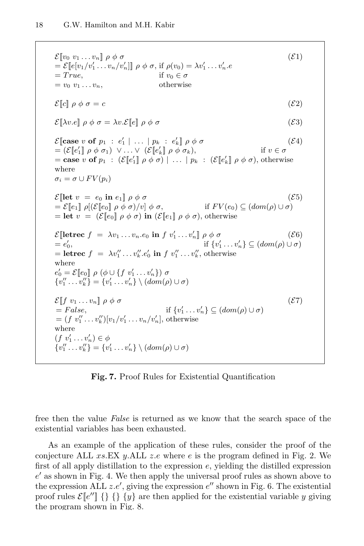```
\mathcal{E}[\![v_0\;v_1\;\ldots\;v_n]\!]\;\rho\;\phi\;\sigma (\mathcal{E}1)
=\mathcal{E}[\![e[v_1/v'_1 \ldots v_n/v'_n]]\!] \rho \phi \sigma, if \rho(v_0) = \lambda v'_1 \ldots v'_n.e= True, if v_0 \in \sigma= v_0 v_1 \dots v_n, otherwise
\mathcal{E}[\![c]\!] \rho \phi \sigma = c (\mathcal{E}2)
\mathcal{E}[\![\lambda v.e]\!] \rho \phi \sigma = \lambda v.\mathcal{E}[\![e]\!] \rho \phi \sigma (\mathcal{E}3)
\mathcal{E}[\text{case } v \text{ of } p_1 : e'_1 \mid ... \mid p_k : e'_k] \rho \phi \sigma (\mathcal{E}4)
= (\mathcal{E}[\![e'_1]\!] \, \rho \, \phi \, \sigma_1) \ \vee \ldots \vee \ (\mathcal{E}[\![e'_k]\!] \, \rho \, \phi \, \sigma_k), if v \in \sigma= case v of p_1 : (\mathcal{E}[\![e'_1]\!] \rho \phi \sigma) | \dots | p_k : (\mathcal{E}[\![e'_k]\!] \rho \phi \sigma), otherwise
where
\sigma_i = \sigma \cup FV(p_i)\mathcal{E}[let v = e_0 in e_1] \rho \phi \sigma (\mathcal{E}5)
= \mathcal{E}[[e_1]] \rho[(\mathcal{E}[[e_0]] \rho \phi \sigma)/v] \phi \sigma, if F V(e_0) \subseteq (dom(\rho) \cup \sigma)= let v = (\mathcal{E}[\![e_0]\!] \rho \phi \sigma) in (\mathcal{E}[\![e_1]\!] \rho \phi \sigma), otherwise
\mathcal{E}[\text{letter } f = \lambda v_1 \dots v_n e_0 \text{ in } f \ v'_1 \dots v'_n] \rho \phi \sigma (\mathcal{E}6)
= e'_0\int_0', if {v
                                                                      v'_1 \dots v'_n \} \subseteq (dom(\rho) \cup \sigma)= letrec f = \lambda v_1'' \dots v_k'' e_0' in f v_1'' \dots v_k'', otherwise
where
e'_0 = \mathcal{E}[\![e_0]\!] \, \rho \, (\phi \cup \{f \, v'_1 \dots v'_n\}) \, \sigma\{v''_1 \dots v''_k\} = \{v'_1 \dots v'_n\} \setminus (dom(\rho) \cup \sigma)\mathcal{E}[[f \ v_1 \dots v_n] \rho \phi \sigma (\mathcal{E}7)
 = False, if {v
                                                      v'_1 \ldots v'_n \} \subseteq (dom(\rho) \cup \sigma)= (f \; v''_1 \dots v''_k)[v_1/v'_1 \dots v_n/v'_n], otherwise
where
(f\ v_1' \ldots v_n') \in \phi{v''_1 \dots v''_k} = {v'_1 \dots v'_n} \setminus (dom(\rho) \cup \sigma)
```
Fig. 7. Proof Rules for Existential Quantification

free then the value False is returned as we know that the search space of the existential variables has been exhausted.

As an example of the application of these rules, consider the proof of the conjecture ALL  $xs.EX y.ALL z.e$  where e is the program defined in Fig. 2. We first of all apply distillation to the expression  $e$ , yielding the distilled expression  $e'$  as shown in Fig. 4. We then apply the universal proof rules as shown above to the expression ALL  $z.e'$ , giving the expression  $e''$  shown in Fig. 6. The existential proof rules  $\mathcal{E}[\![e'']\!]$  {} {y} are then applied for the existential variable y giving the program shown in Fig. 8.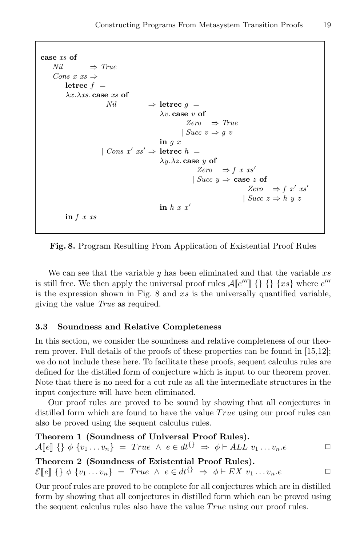```
case xs of
    Nil \Rightarrow TrueCons x \, \text{ss} \Rightarrowletrec f =\lambda x.\lambda xs.\case xs of
                         Nil ⇒ letrec q =
                                              \lambda v. case v of
                                                         Zero \Rightarrow True| Succ v \Rightarrow q v
                                              in q x| Cons x' xs' \Rightarrow letrec h =
                                              \lambda y.\lambda z case y of
                                                             Zero \Rightarrow f \; x \; xs'| Succ y \Rightarrow \cose z of
                                                                                 Zero \Rightarrow f x' xs'
                                                                               | Succ z \Rightarrow h y zin h x x'in f \, x \, xs
```
Fig. 8. Program Resulting From Application of Existential Proof Rules

We can see that the variable  $y$  has been eliminated and that the variable  $xs$ is still free. We then apply the universal proof rules  $\mathcal{A}[\![e''']\!] \{\}\{\}\{xs\}$  where  $e'''$ is the expression shown in Fig.  $8$  and  $xs$  is the universally quantified variable, giving the value True as required.

#### 3.3 Soundness and Relative Completeness

In this section, we consider the soundness and relative completeness of our theorem prover. Full details of the proofs of these properties can be found in [15,12]; we do not include these here. To facilitate these proofs, sequent calculus rules are defined for the distilled form of conjecture which is input to our theorem prover. Note that there is no need for a cut rule as all the intermediate structures in the input conjecture will have been eliminated.

Our proof rules are proved to be sound by showing that all conjectures in distilled form which are found to have the value  $True$  using our proof rules can also be proved using the sequent calculus rules.

Theorem 1 (Soundness of Universal Proof Rules).  $\mathcal{A}[\![e]\!] \{\} \phi \{v_1 \dots v_n\} = True \land e \in dt^{\{\}} \Rightarrow \phi \vdash ALL \ v_1 \dots v_n.e \qquad \Box$ Theorem 2 (Soundness of Existential Proof Rules).  $\mathcal{E}[[e]]\{\}\phi\{v_1 \dots v_n\} = True \wedge e \in dt^{\{\}} \Rightarrow \phi \vdash EX \ v_1 \dots v_n.e$ 

Our proof rules are proved to be complete for all conjectures which are in distilled form by showing that all conjectures in distilled form which can be proved using the sequent calculus rules also have the value  $True$  using our proof rules.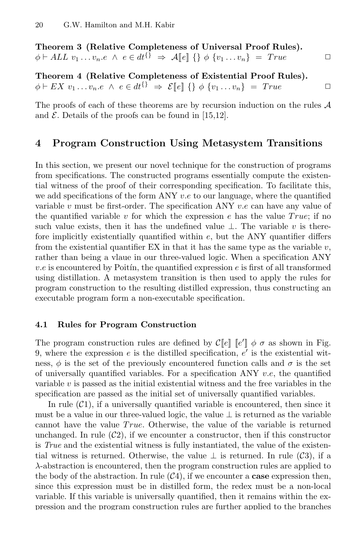Theorem 3 (Relative Completeness of Universal Proof Rules).  $\phi \vdash ALL \ v_1 \ldots v_n.e \ \wedge \ e \in dt^{\{\}} \ \Rightarrow \ \mathcal{A}\llbracket e \rrbracket \ \{\} \ \phi \ \{v_1 \ldots v_n\} \ = \ True \ \Box$ 

Theorem 4 (Relative Completeness of Existential Proof Rules).  $\phi \vdash EX \ v_1 \ldots v_n.e \ \land \ e \in dt^{\{\}} \ \Rightarrow \ \mathcal{E}[\![e]\!] \ \{\} \ \phi \ \{v_1 \ldots v_n\} \ = \ True \qquad \Box$ 

The proofs of each of these theorems are by recursion induction on the rules  $A$ and  $\mathcal E$ . Details of the proofs can be found in [15,12].

## 4 Program Construction Using Metasystem Transitions

In this section, we present our novel technique for the construction of programs from specifications. The constructed programs essentially compute the existential witness of the proof of their corresponding specification. To facilitate this, we add specifications of the form ANY  $v.e$  to our language, where the quantified variable v must be first-order. The specification ANY  $v.e$  can have any value of the quantified variable v for which the expression e has the value  $True;$  if no such value exists, then it has the undefined value  $\perp$ . The variable v is therefore implicitly existentially quantified within  $e$ , but the ANY quantifier differs from the existential quantifier EX in that it has the same type as the variable  $v$ , rather than being a vlaue in our three-valued logic. When a specification ANY  $v.e$  is encountered by Poitin, the quantified expression  $e$  is first of all transformed using distillation. A metasystem transition is then used to apply the rules for program construction to the resulting distilled expression, thus constructing an executable program form a non-executable specification.

#### 4.1 Rules for Program Construction

The program construction rules are defined by  $\mathcal{C}[\![e]\!]$  [ $e'$ ]  $\phi \sigma$  as shown in Fig. 9, where the expression  $e$  is the distilled specification,  $e'$  is the existential witness,  $\phi$  is the set of the previously encountered function calls and  $\sigma$  is the set of universally quantified variables. For a specification ANY  $v.e.$  the quantified variable  $v$  is passed as the initial existential witness and the free variables in the specification are passed as the initial set of universally quantified variables.

In rule  $(\mathcal{C}_1)$ , if a universally quantified variable is encountered, then since it must be a value in our three-valued logic, the value  $\perp$  is returned as the variable cannot have the value  $True$ . Otherwise, the value of the variable is returned unchanged. In rule  $(\mathcal{C}2)$ , if we encounter a constructor, then if this constructor is True and the existential witness is fully instantiated, the value of the existential witness is returned. Otherwise, the value  $\perp$  is returned. In rule (C3), if a λ-abstraction is encountered, then the program construction rules are applied to the body of the abstraction. In rule  $(\mathcal{C}4)$ , if we encounter a **case** expression then, since this expression must be in distilled form, the redex must be a non-local variable. If this variable is universally quantified, then it remains within the expression and the program construction rules are further applied to the branches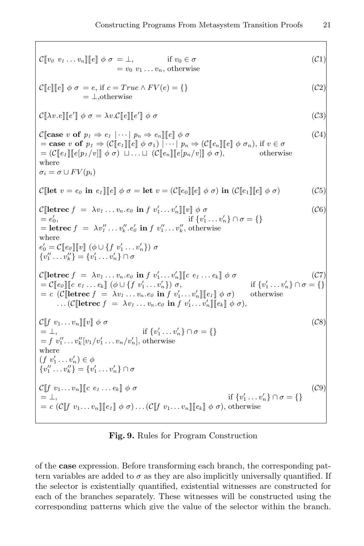$\mathcal{C}[\![v_0 \; v_1 \; \ldots \; v_n]\!] [\![e]\!] \phi \; \sigma = \bot,$  if  $v_0 \in \sigma$  $= v_0 v_1 \dots v_n$ , otherwise  $(C1)$  $\mathcal{C}[[c]][[e]] \phi \sigma = e$ , if  $c = True \wedge FV(e) = \{\}$ = ⊥,otherwise  $(C2)$  $\mathcal{C}[\![\lambda v.e]\!] \llbracket e' \rrbracket \phi \sigma = \lambda v.\mathcal{C}[\![e]\!] \llbracket e'$  $\parallel \phi \; \sigma$  (C3)  $\mathcal{C}$ [case v of  $p_1 \Rightarrow e_1 \mid \cdots \mid p_n \Rightarrow e_n$ ][[e]  $\phi \sigma$  (C4) = case v of  $p_1 \Rightarrow (\mathcal{C}[\![e_1]\!][\![e]\!]) \phi \sigma_1) \mid \cdots \mid p_n \Rightarrow (\mathcal{C}[\![e_n]\!][\![e]\!]) \phi \sigma_n)$ , if  $v \in \sigma$  $= (C[\![e_1]\!][\![e[p_1/v]]\!](\phi \sigma) \sqcup \ldots \sqcup (C[\![e_n]\!][\![e[p_n/v]]\!](\phi \sigma),$  otherwise where  $\sigma_i = \sigma \cup FV(p_i)$ C[let  $v = e_0$  in  $e_1$ ][ $e$ ]  $\phi \sigma =$  let  $v = (\mathcal{C}[\![e_0]\!] [\![e]\!] \phi \sigma)$  in  $(\mathcal{C}[\![e_1]\!] [\![e]\!] \phi \sigma)$  (C5)  $\mathcal{C}[\text{letterec } f = \lambda v_1 \ldots v_n \ldotp e_0 \text{ in } f \ v'_1 \ldots v'_n] \llbracket v \rrbracket \phi \ \sigma$  (C6)  $= e'_0$  $\int_0',$  if  $\{v\}$  $v'_1 \ldots v'_n \} \cap \sigma = \{\}$ = letrec  $f = \lambda v_1'' \dots v_k''$ .  $e_0'$  in  $f v_1'' \dots v_k''$ , otherwise where  $e'_0 = C[\![e_0]\!][\![v]\!](\phi \cup \{f \ v'_1 \dots v'_n\}) \ \sigma$  ${v''_1 \dots v''_k} = {v'_1 \dots v'_n} \cap \sigma$  $\mathcal{C}[\text{letterec } f = \lambda v_1 \ldots v_n \ldotp e_0 \text{ in } f \ v_1' \ldots v_n' \mathbb{I}[c \ e_1 \ldots e_k] \ \phi \ \sigma$  (C7)  $=\mathcal{C}[\![e_0]\!][\![c \; e_1 \ldots e_k]\!] \; (\phi \cup \{f \; v_1' \ldots v_n'\}) \; \sigma,$  if {*v*  $v'_1 \ldots v'_n \} \cap \sigma = \{\}$  $= c \ \left( \mathcal{C} \left[ \text{letterec } f \right] = \lambda v_1 \ldots v_n \ldotp e_0 \text{ in } f \ v_1' \ldots v_n' \right] \left[ \left[ e_1 \right] \phi \ \sigma \right)$  $\ldots (\mathcal{C}[\text{letterec } f = \lambda v_1 \ldots v_n . e_\theta \text{ in } f v'_1 \ldots v'_n] \llbracket e_k \rrbracket \phi \sigma),$ otherwise  $\mathcal{C}[[f \ v_1 \dots v_n] \ ||\ v \ \phi \ \sigma$  (C8)  $= \perp,$  if {v  $v'_1 \dots v'_n \} \cap \sigma = \{\}$  $= f \; v''_1 \dots v''_k[v_1/v'_1 \dots v_n/v'_n], \text{ otherwise}$ where  $(f\ v_1' \ldots v_n') \in \phi$  ${v''_1 \dots v''_k} = {v'_1 \dots v'_n} \cap \sigma$  $\mathcal{C}[[f \ v_1 \dots v_n]] \llbracket c \ e_1 \dots e_k \rrbracket \phi \ \sigma$  (C9)  $= \perp,$  if {v  $v'_1 \ldots v'_n \} \cap \sigma = \{\}$  $= c \left( \mathcal{C} \left[ f \ v_1 \dots v_n \right] \right] \left[ e_i \right] \phi \ \sigma \right) \dots \left( \mathcal{C} \left[ f \ v_1 \dots v_n \right] \left[ e_k \right] \phi \ \sigma \right)$ , otherwise

Fig. 9. Rules for Program Construction

of the case expression. Before transforming each branch, the corresponding pattern variables are added to  $\sigma$  as they are also implicitly universally quantified. If the selector is existentially quantified, existential witnesses are constructed for each of the branches separately. These witnesses will be constructed using the corresponding patterns which give the value of the selector within the branch.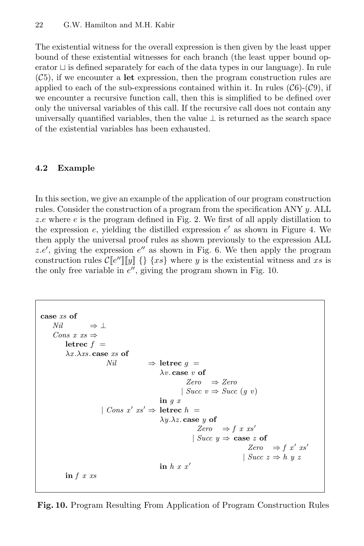The existential witness for the overall expression is then given by the least upper bound of these existential witnesses for each branch (the least upper bound operator  $\sqcup$  is defined separately for each of the data types in our language). In rule  $(\mathcal{C}_5)$ , if we encounter a let expression, then the program construction rules are applied to each of the sub-expressions contained within it. In rules  $(\mathcal{C}6)$ - $(\mathcal{C}9)$ , if we encounter a recursive function call, then this is simplified to be defined over only the universal variables of this call. If the recursive call does not contain any universally quantified variables, then the value  $\perp$  is returned as the search space of the existential variables has been exhausted.

# 4.2 Example

In this section, we give an example of the application of our program construction rules. Consider the construction of a program from the specification ANY y. ALL z.e where  $e$  is the program defined in Fig. 2. We first of all apply distillation to the expression  $e$ , yielding the distilled expression  $e'$  as shown in Figure 4. We then apply the universal proof rules as shown previously to the expression ALL z.e', giving the expression  $e''$  as shown in Fig. 6. We then apply the program construction rules  $C[[e'']][y] \{\}\$  { $xs\}$  where y is the existential witness and xs is the only free variable in  $e''$ , giving the program shown in Fig. 10.

```
case xs of
    Nil \Rightarrow \botCons x \, \text{ss} \Rightarrowletrec f =\lambda x.\lambda xs.\,case \, xs \,ofNil ⇒ letrec q =
                                                \lambda v. case v of
                                                          Zero \Rightarrow Zero| Succ v \Rightarrow Succ(g \ v)in q x| Cons x' xs' \Rightarrow letrec h =
                                               \lambda y.\lambda z. case y of
                                                              Zero \Rightarrow f \; x \; xs'| Succ y \Rightarrow \csc z of
                                                                                   Zero \Rightarrow f x' xs'
                                                                                 | Succ z \Rightarrow h y zin h x x'in f \, x \, xs
```
Fig. 10. Program Resulting From Application of Program Construction Rules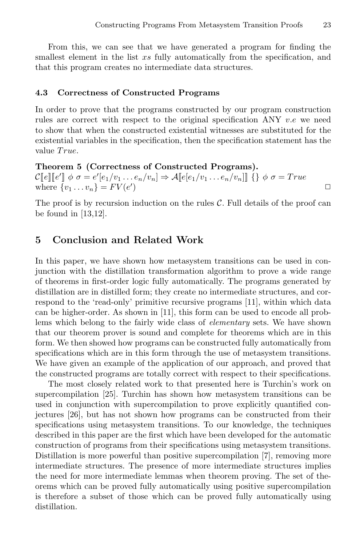From this, we can see that we have generated a program for finding the smallest element in the list xs fully automatically from the specification, and that this program creates no intermediate data structures.

#### 4.3 Correctness of Constructed Programs

In order to prove that the programs constructed by our program construction rules are correct with respect to the original specification ANY  $v.e$  we need to show that when the constructed existential witnesses are substituted for the existential variables in the specification, then the specification statement has the value True.

Theorem 5 (Correctness of Constructed Programs).  $\mathcal{C}[\![e]\!][\![e']\!] \phi \sigma = e'[e_1/v_1 \ldots e_n/v_n] \Rightarrow \mathcal{A}[\![e[e_1/v_1 \ldots e_n/v_n]]\!] \{\} \phi \sigma = True$ where  $\{v_1 \dots v_n\} = FV(e')$ ) and the contract of  $\Box$ 

The proof is by recursion induction on the rules  $C$ . Full details of the proof can be found in [13,12].

## 5 Conclusion and Related Work

In this paper, we have shown how metasystem transitions can be used in conjunction with the distillation transformation algorithm to prove a wide range of theorems in first-order logic fully automatically. The programs generated by distillation are in distilled form; they create no intermediate structures, and correspond to the 'read-only' primitive recursive programs [11], within which data can be higher-order. As shown in [11], this form can be used to encode all problems which belong to the fairly wide class of *elementary* sets. We have shown that our theorem prover is sound and complete for theorems which are in this form. We then showed how programs can be constructed fully automatically from specifications which are in this form through the use of metasystem transitions. We have given an example of the application of our approach, and proved that the constructed programs are totally correct with respect to their specifications.

The most closely related work to that presented here is Turchin's work on supercompilation [25]. Turchin has shown how metasystem transitions can be used in conjunction with supercompilation to prove explicitly quantified conjectures [26], but has not shown how programs can be constructed from their specifications using metasystem transitions. To our knowledge, the techniques described in this paper are the first which have been developed for the automatic construction of programs from their specifications using metasystem transitions. Distillation is more powerful than positive supercompilation [7], removing more intermediate structures. The presence of more intermediate structures implies the need for more intermediate lemmas when theorem proving. The set of theorems which can be proved fully automatically using positive supercompilation is therefore a subset of those which can be proved fully automatically using distillation.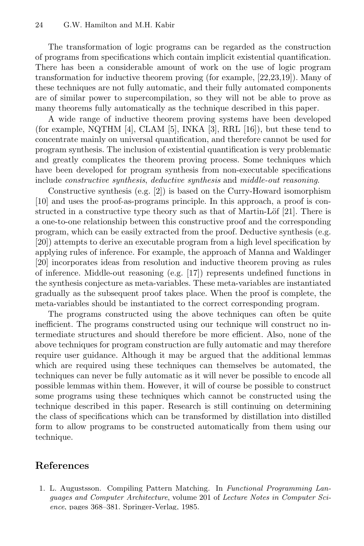The transformation of logic programs can be regarded as the construction of programs from specifications which contain implicit existential quantification. There has been a considerable amount of work on the use of logic program transformation for inductive theorem proving (for example, [22,23,19]). Many of these techniques are not fully automatic, and their fully automated components are of similar power to supercompilation, so they will not be able to prove as many theorems fully automatically as the technique described in this paper.

A wide range of inductive theorem proving systems have been developed (for example, NQTHM [4], CLAM [5], INKA [3], RRL [16]), but these tend to concentrate mainly on universal quantification, and therefore cannot be used for program synthesis. The inclusion of existential quantification is very problematic and greatly complicates the theorem proving process. Some techniques which have been developed for program synthesis from non-executable specifications include constructive synthesis, deductive synthesis and middle-out reasoning.

Constructive synthesis (e.g. [2]) is based on the Curry-Howard isomorphism [10] and uses the proof-as-programs principle. In this approach, a proof is constructed in a constructive type theory such as that of Martin-Löf  $[21]$ . There is a one-to-one relationship between this constructive proof and the corresponding program, which can be easily extracted from the proof. Deductive synthesis (e.g. [20]) attempts to derive an executable program from a high level specification by applying rules of inference. For example, the approach of Manna and Waldinger [20] incorporates ideas from resolution and inductive theorem proving as rules of inference. Middle-out reasoning (e.g. [17]) represents undefined functions in the synthesis conjecture as meta-variables. These meta-variables are instantiated gradually as the subsequent proof takes place. When the proof is complete, the meta-variables should be instantiated to the correct corresponding program.

The programs constructed using the above techniques can often be quite inefficient. The programs constructed using our technique will construct no intermediate structures and should therefore be more efficient. Also, none of the above techniques for program construction are fully automatic and may therefore require user guidance. Although it may be argued that the additional lemmas which are required using these techniques can themselves be automated, the techniques can never be fully automatic as it will never be possible to encode all possible lemmas within them. However, it will of course be possible to construct some programs using these techniques which cannot be constructed using the technique described in this paper. Research is still continuing on determining the class of specifications which can be transformed by distillation into distilled form to allow programs to be constructed automatically from them using our technique.

# References

1. L. Augustsson. Compiling Pattern Matching. In Functional Programming Languages and Computer Architecture, volume 201 of Lecture Notes in Computer Science, pages 368–381. Springer-Verlag, 1985.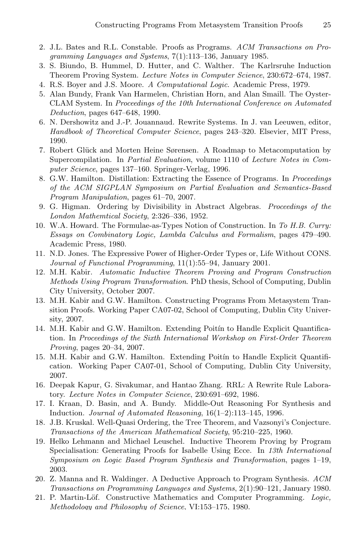- 2. J.L. Bates and R.L. Constable. Proofs as Programs. ACM Transactions on Programming Languages and Systems, 7(1):113–136, January 1985.
- 3. S. Biundo, B. Hummel, D. Hutter, and C. Walther. The Karlrsruhe Induction Theorem Proving System. Lecture Notes in Computer Science, 230:672–674, 1987.
- 4. R.S. Boyer and J.S. Moore. A Computational Logic. Academic Press, 1979.
- 5. Alan Bundy, Frank Van Harmelen, Christian Horn, and Alan Smaill. The Oyster-CLAM System. In Proceedings of the 10th International Conference on Automated Deduction, pages 647–648, 1990.
- 6. N. Dershowitz and J.-P. Jouannaud. Rewrite Systems. In J. van Leeuwen, editor, Handbook of Theoretical Computer Science, pages 243–320. Elsevier, MIT Press, 1990.
- 7. Robert Glück and Morten Heine Sørensen. A Roadmap to Metacomputation by Supercompilation. In Partial Evaluation, volume 1110 of Lecture Notes in Computer Science, pages 137–160. Springer-Verlag, 1996.
- 8. G.W. Hamilton. Distillation: Extracting the Essence of Programs. In Proceedings of the ACM SIGPLAN Symposium on Partial Evaluation and Semantics-Based Program Manipulation, pages 61–70, 2007.
- 9. G. Higman. Ordering by Divisibility in Abstract Algebras. Proceedings of the London Mathemtical Society, 2:326–336, 1952.
- 10. W.A. Howard. The Formulae-as-Types Notion of Construction. In To H.B. Curry: Essays on Combinatory Logic, Lambda Calculus and Formalism, pages 479–490. Academic Press, 1980.
- 11. N.D. Jones. The Expressive Power of Higher-Order Types or, Life Without CONS. Journal of Functional Programming, 11(1):55–94, January 2001.
- 12. M.H. Kabir. Automatic Inductive Theorem Proving and Program Construction Methods Using Program Transformation. PhD thesis, School of Computing, Dublin City University, October 2007.
- 13. M.H. Kabir and G.W. Hamilton. Constructing Programs From Metasystem Transition Proofs. Working Paper CA07-02, School of Computing, Dublin City University, 2007.
- 14. M.H. Kabir and G.W. Hamilton. Extending Poitín to Handle Explicit Quantification. In Proceedings of the Sixth International Workshop on First-Order Theorem Proving, pages 20–34, 2007.
- 15. M.H. Kabir and G.W. Hamilton. Extending Poitín to Handle Explicit Quantification. Working Paper CA07-01, School of Computing, Dublin City University, 2007.
- 16. Deepak Kapur, G. Sivakumar, and Hantao Zhang. RRL: A Rewrite Rule Laboratory. Lecture Notes in Computer Science, 230:691–692, 1986.
- 17. I. Kraan, D. Basin, and A. Bundy. Middle-Out Reasoning For Synthesis and Induction. Journal of Automated Reasoning, 16(1–2):113–145, 1996.
- 18. J.B. Kruskal. Well-Quasi Ordering, the Tree Theorem, and Vazsonyi's Conjecture. Transactions of the American Mathematical Society, 95:210–225, 1960.
- 19. Helko Lehmann and Michael Leuschel. Inductive Theorem Proving by Program Specialisation: Generating Proofs for Isabelle Using Ecce. In 13th International Symposium on Logic Based Program Synthesis and Transformation, pages 1–19, 2003.
- 20. Z. Manna and R. Waldinger. A Deductive Approach to Program Synthesis. ACM Transactions on Programming Languages and Systems, 2(1):90–121, January 1980.
- 21. P. Martin-Löf. Constructive Mathematics and Computer Programming. Logic, Methodology and Philosophy of Science, VI:153–175, 1980.